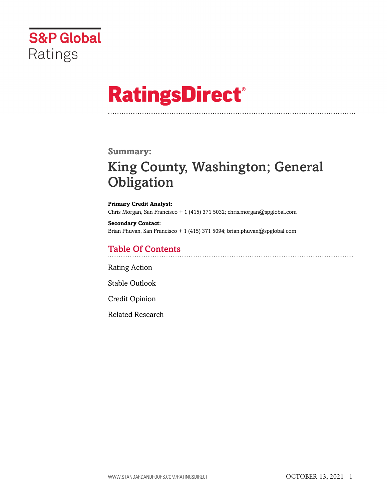

# **RatingsDirect®**

## **Summary:**

## King County, Washington; General **Obligation**

**Primary Credit Analyst:** Chris Morgan, San Francisco + 1 (415) 371 5032; chris.morgan@spglobal.com

**Secondary Contact:** Brian Phuvan, San Francisco + 1 (415) 371 5094; brian.phuvan@spglobal.com

## Table Of Contents

[Rating Action](#page-1-0)

[Stable Outlook](#page-2-0)

[Credit Opinion](#page-3-0)

[Related Research](#page-6-0)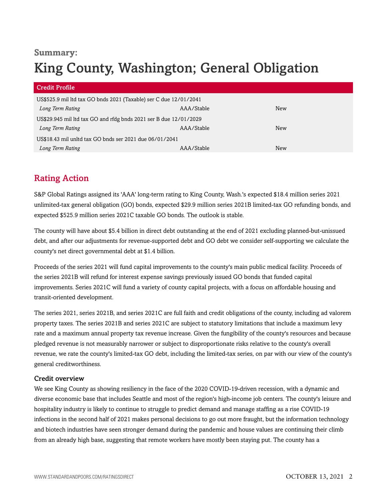## **Summary:**

## King County, Washington; General Obligation

| <b>Credit Profile</b>                                             |            |     |  |
|-------------------------------------------------------------------|------------|-----|--|
| US\$525.9 mil ltd tax GO bnds 2021 (Taxable) ser C due 12/01/2041 |            |     |  |
| Long Term Rating                                                  | AAA/Stable | New |  |
| US\$29.945 mil ltd tax GO and rfdg bnds 2021 ser B due 12/01/2029 |            |     |  |
| Long Term Rating                                                  | AAA/Stable | New |  |
| US\$18.43 mil unltd tax GO bnds ser 2021 due 06/01/2041           |            |     |  |
| Long Term Rating                                                  | AAA/Stable | New |  |

## <span id="page-1-0"></span>Rating Action

S&P Global Ratings assigned its 'AAA' long-term rating to King County, Wash.'s expected \$18.4 million series 2021 unlimited-tax general obligation (GO) bonds, expected \$29.9 million series 2021B limited-tax GO refunding bonds, and expected \$525.9 million series 2021C taxable GO bonds. The outlook is stable.

The county will have about \$5.4 billion in direct debt outstanding at the end of 2021 excluding planned-but-unissued debt, and after our adjustments for revenue-supported debt and GO debt we consider self-supporting we calculate the county's net direct governmental debt at \$1.4 billion.

Proceeds of the series 2021 will fund capital improvements to the county's main public medical facility. Proceeds of the series 2021B will refund for interest expense savings previously issued GO bonds that funded capital improvements. Series 2021C will fund a variety of county capital projects, with a focus on affordable housing and transit-oriented development.

The series 2021, series 2021B, and series 2021C are full faith and credit obligations of the county, including ad valorem property taxes. The series 2021B and series 2021C are subject to statutory limitations that include a maximum levy rate and a maximum annual property tax revenue increase. Given the fungibility of the county's resources and because pledged revenue is not measurably narrower or subject to disproportionate risks relative to the county's overall revenue, we rate the county's limited-tax GO debt, including the limited-tax series, on par with our view of the county's general creditworthiness.

## Credit overview

We see King County as showing resiliency in the face of the 2020 COVID-19-driven recession, with a dynamic and diverse economic base that includes Seattle and most of the region's high-income job centers. The county's leisure and hospitality industry is likely to continue to struggle to predict demand and manage staffing as a rise COVID-19 infections in the second half of 2021 makes personal decisions to go out more fraught, but the information technology and biotech industries have seen stronger demand during the pandemic and house values are continuing their climb from an already high base, suggesting that remote workers have mostly been staying put. The county has a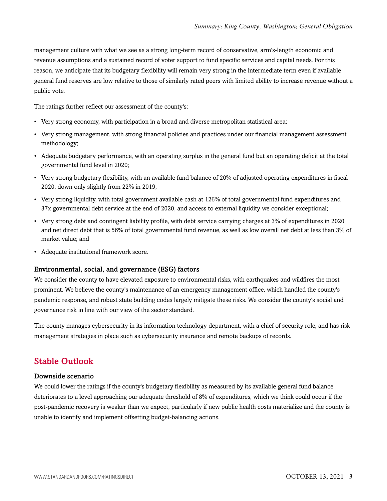management culture with what we see as a strong long-term record of conservative, arm's-length economic and revenue assumptions and a sustained record of voter support to fund specific services and capital needs. For this reason, we anticipate that its budgetary flexibility will remain very strong in the intermediate term even if available general fund reserves are low relative to those of similarly rated peers with limited ability to increase revenue without a public vote.

The ratings further reflect our assessment of the county's:

- Very strong economy, with participation in a broad and diverse metropolitan statistical area;
- Very strong management, with strong financial policies and practices under our financial management assessment methodology;
- Adequate budgetary performance, with an operating surplus in the general fund but an operating deficit at the total governmental fund level in 2020;
- Very strong budgetary flexibility, with an available fund balance of 20% of adjusted operating expenditures in fiscal 2020, down only slightly from 22% in 2019;
- Very strong liquidity, with total government available cash at 126% of total governmental fund expenditures and 37x governmental debt service at the end of 2020, and access to external liquidity we consider exceptional;
- Very strong debt and contingent liability profile, with debt service carrying charges at 3% of expenditures in 2020 and net direct debt that is 56% of total governmental fund revenue, as well as low overall net debt at less than 3% of market value; and
- Adequate institutional framework score.

### Environmental, social, and governance (ESG) factors

We consider the county to have elevated exposure to environmental risks, with earthquakes and wildfires the most prominent. We believe the county's maintenance of an emergency management office, which handled the county's pandemic response, and robust state building codes largely mitigate these risks. We consider the county's social and governance risk in line with our view of the sector standard.

The county manages cybersecurity in its information technology department, with a chief of security role, and has risk management strategies in place such as cybersecurity insurance and remote backups of records.

## <span id="page-2-0"></span>Stable Outlook

#### Downside scenario

We could lower the ratings if the county's budgetary flexibility as measured by its available general fund balance deteriorates to a level approaching our adequate threshold of 8% of expenditures, which we think could occur if the post-pandemic recovery is weaker than we expect, particularly if new public health costs materialize and the county is unable to identify and implement offsetting budget-balancing actions.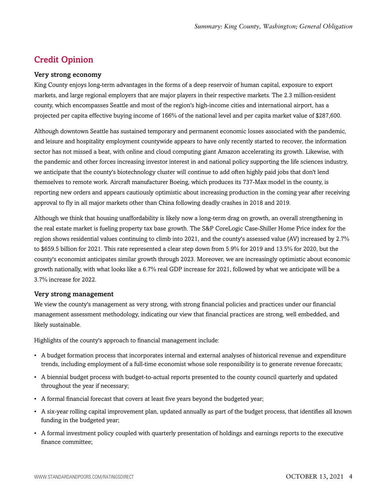## <span id="page-3-0"></span>Credit Opinion

## Very strong economy

King County enjoys long-term advantages in the forms of a deep reservoir of human capital, exposure to export markets, and large regional employers that are major players in their respective markets. The 2.3 million-resident county, which encompasses Seattle and most of the region's high-income cities and international airport, has a projected per capita effective buying income of 166% of the national level and per capita market value of \$287,600.

Although downtown Seattle has sustained temporary and permanent economic losses associated with the pandemic, and leisure and hospitality employment countywide appears to have only recently started to recover, the information sector has not missed a beat, with online and cloud computing giant Amazon accelerating its growth. Likewise, with the pandemic and other forces increasing investor interest in and national policy supporting the life sciences industry, we anticipate that the county's biotechnology cluster will continue to add often highly paid jobs that don't lend themselves to remote work. Aircraft manufacturer Boeing, which produces its 737-Max model in the county, is reporting new orders and appears cautiously optimistic about increasing production in the coming year after receiving approval to fly in all major markets other than China following deadly crashes in 2018 and 2019.

Although we think that housing unaffordability is likely now a long-term drag on growth, an overall strengthening in the real estate market is fueling property tax base growth. The S&P CoreLogic Case-Shiller Home Price index for the region shows residential values continuing to climb into 2021, and the county's assessed value (AV) increased by 2.7% to \$659.5 billion for 2021. This rate represented a clear step down from 5.9% for 2019 and 13.5% for 2020, but the county's economist anticipates similar growth through 2023. Moreover, we are increasingly optimistic about economic growth nationally, with what looks like a 6.7% real GDP increase for 2021, followed by what we anticipate will be a 3.7% increase for 2022.

### Very strong management

We view the county's management as very strong, with strong financial policies and practices under our financial management assessment methodology, indicating our view that financial practices are strong, well embedded, and likely sustainable.

Highlights of the county's approach to financial management include:

- A budget formation process that incorporates internal and external analyses of historical revenue and expenditure trends, including employment of a full-time economist whose sole responsibility is to generate revenue forecasts;
- A biennial budget process with budget-to-actual reports presented to the county council quarterly and updated throughout the year if necessary;
- A formal financial forecast that covers at least five years beyond the budgeted year;
- A six-year rolling capital improvement plan, updated annually as part of the budget process, that identifies all known funding in the budgeted year;
- A formal investment policy coupled with quarterly presentation of holdings and earnings reports to the executive finance committee;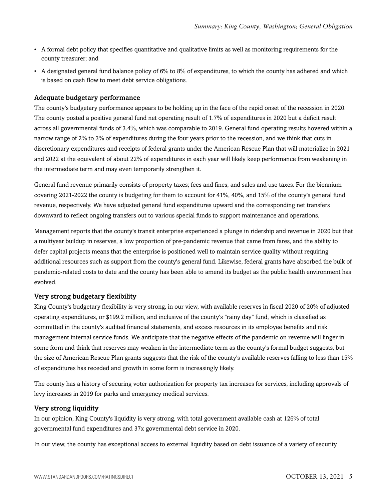- A formal debt policy that specifies quantitative and qualitative limits as well as monitoring requirements for the county treasurer; and
- A designated general fund balance policy of 6% to 8% of expenditures, to which the county has adhered and which is based on cash flow to meet debt service obligations.

## Adequate budgetary performance

The county's budgetary performance appears to be holding up in the face of the rapid onset of the recession in 2020. The county posted a positive general fund net operating result of 1.7% of expenditures in 2020 but a deficit result across all governmental funds of 3.4%, which was comparable to 2019. General fund operating results hovered within a narrow range of 2% to 3% of expenditures during the four years prior to the recession, and we think that cuts in discretionary expenditures and receipts of federal grants under the American Rescue Plan that will materialize in 2021 and 2022 at the equivalent of about 22% of expenditures in each year will likely keep performance from weakening in the intermediate term and may even temporarily strengthen it.

General fund revenue primarily consists of property taxes; fees and fines; and sales and use taxes. For the biennium covering 2021-2022 the county is budgeting for them to account for 41%, 40%, and 15% of the county's general fund revenue, respectively. We have adjusted general fund expenditures upward and the corresponding net transfers downward to reflect ongoing transfers out to various special funds to support maintenance and operations.

Management reports that the county's transit enterprise experienced a plunge in ridership and revenue in 2020 but that a multiyear buildup in reserves, a low proportion of pre-pandemic revenue that came from fares, and the ability to defer capital projects means that the enterprise is positioned well to maintain service quality without requiring additional resources such as support from the county's general fund. Likewise, federal grants have absorbed the bulk of pandemic-related costs to date and the county has been able to amend its budget as the public health environment has evolved.

## Very strong budgetary flexibility

King County's budgetary flexibility is very strong, in our view, with available reserves in fiscal 2020 of 20% of adjusted operating expenditures, or \$199.2 million, and inclusive of the county's "rainy day" fund, which is classified as committed in the county's audited financial statements, and excess resources in its employee benefits and risk management internal service funds. We anticipate that the negative effects of the pandemic on revenue will linger in some form and think that reserves may weaken in the intermediate term as the county's formal budget suggests, but the size of American Rescue Plan grants suggests that the risk of the county's available reserves falling to less than 15% of expenditures has receded and growth in some form is increasingly likely.

The county has a history of securing voter authorization for property tax increases for services, including approvals of levy increases in 2019 for parks and emergency medical services.

## Very strong liquidity

In our opinion, King County's liquidity is very strong, with total government available cash at 126% of total governmental fund expenditures and 37x governmental debt service in 2020.

In our view, the county has exceptional access to external liquidity based on debt issuance of a variety of security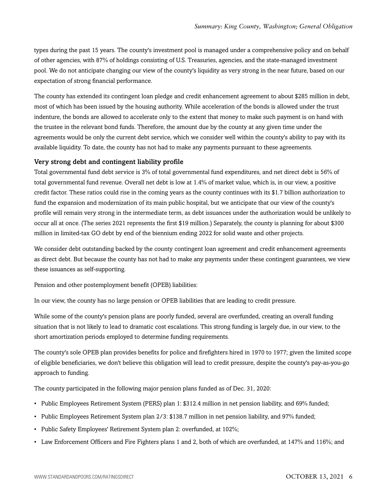types during the past 15 years. The county's investment pool is managed under a comprehensive policy and on behalf of other agencies, with 87% of holdings consisting of U.S. Treasuries, agencies, and the state-managed investment pool. We do not anticipate changing our view of the county's liquidity as very strong in the near future, based on our expectation of strong financial performance.

The county has extended its contingent loan pledge and credit enhancement agreement to about \$285 million in debt, most of which has been issued by the housing authority. While acceleration of the bonds is allowed under the trust indenture, the bonds are allowed to accelerate only to the extent that money to make such payment is on hand with the trustee in the relevant bond funds. Therefore, the amount due by the county at any given time under the agreements would be only the current debt service, which we consider well within the county's ability to pay with its available liquidity. To date, the county has not had to make any payments pursuant to these agreements.

### Very strong debt and contingent liability profile

Total governmental fund debt service is 3% of total governmental fund expenditures, and net direct debt is 56% of total governmental fund revenue. Overall net debt is low at 1.4% of market value, which is, in our view, a positive credit factor. These ratios could rise in the coming years as the county continues with its \$1.7 billion authorization to fund the expansion and modernization of its main public hospital, but we anticipate that our view of the county's profile will remain very strong in the intermediate term, as debt issuances under the authorization would be unlikely to occur all at once. (The series 2021 represents the first \$19 million.) Separately, the county is planning for about \$300 million in limited-tax GO debt by end of the biennium ending 2022 for solid waste and other projects.

We consider debt outstanding backed by the county contingent loan agreement and credit enhancement agreements as direct debt. But because the county has not had to make any payments under these contingent guarantees, we view these issuances as self-supporting.

Pension and other postemployment benefit (OPEB) liabilities:

In our view, the county has no large pension or OPEB liabilities that are leading to credit pressure.

While some of the county's pension plans are poorly funded, several are overfunded, creating an overall funding situation that is not likely to lead to dramatic cost escalations. This strong funding is largely due, in our view, to the short amortization periods employed to determine funding requirements.

The county's sole OPEB plan provides benefits for police and firefighters hired in 1970 to 1977; given the limited scope of eligible beneficiaries, we don't believe this obligation will lead to credit pressure, despite the county's pay-as-you-go approach to funding.

The county participated in the following major pension plans funded as of Dec. 31, 2020:

- Public Employees Retirement System (PERS) plan 1: \$312.4 million in net pension liability, and 69% funded;
- Public Employees Retirement System plan 2/3: \$138.7 million in net pension liability, and 97% funded;
- Public Safety Employees' Retirement System plan 2: overfunded, at 102%;
- Law Enforcement Officers and Fire Fighters plans 1 and 2, both of which are overfunded, at 147% and 116%; and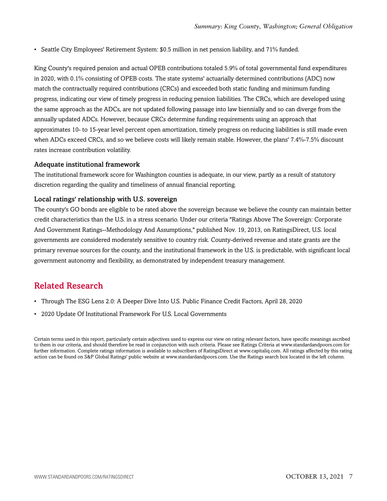• Seattle City Employees' Retirement System: \$0.5 million in net pension liability, and 71% funded.

King County's required pension and actual OPEB contributions totaled 5.9% of total governmental fund expenditures in 2020, with 0.1% consisting of OPEB costs. The state systems' actuarially determined contributions (ADC) now match the contractually required contributions (CRCs) and exceeded both static funding and minimum funding progress, indicating our view of timely progress in reducing pension liabilities. The CRCs, which are developed using the same approach as the ADCs, are not updated following passage into law biennially and so can diverge from the annually updated ADCs. However, because CRCs determine funding requirements using an approach that approximates 10- to 15-year level percent open amortization, timely progress on reducing liabilities is still made even when ADCs exceed CRCs, and so we believe costs will likely remain stable. However, the plans' 7.4%-7.5% discount rates increase contribution volatility.

#### Adequate institutional framework

The institutional framework score for Washington counties is adequate, in our view, partly as a result of statutory discretion regarding the quality and timeliness of annual financial reporting.

## Local ratings' relationship with U.S. sovereign

The county's GO bonds are eligible to be rated above the sovereign because we believe the county can maintain better credit characteristics than the U.S. in a stress scenario. Under our criteria "Ratings Above The Sovereign: Corporate And Government Ratings--Methodology And Assumptions," published Nov. 19, 2013, on RatingsDirect, U.S. local governments are considered moderately sensitive to country risk. County-derived revenue and state grants are the primary revenue sources for the county, and the institutional framework in the U.S. is predictable, with significant local government autonomy and flexibility, as demonstrated by independent treasury management.

## <span id="page-6-0"></span>Related Research

- Through The ESG Lens 2.0: A Deeper Dive Into U.S. Public Finance Credit Factors, April 28, 2020
- 2020 Update Of Institutional Framework For U.S. Local Governments

Certain terms used in this report, particularly certain adjectives used to express our view on rating relevant factors, have specific meanings ascribed to them in our criteria, and should therefore be read in conjunction with such criteria. Please see Ratings Criteria at www.standardandpoors.com for further information. Complete ratings information is available to subscribers of RatingsDirect at www.capitaliq.com. All ratings affected by this rating action can be found on S&P Global Ratings' public website at www.standardandpoors.com. Use the Ratings search box located in the left column.